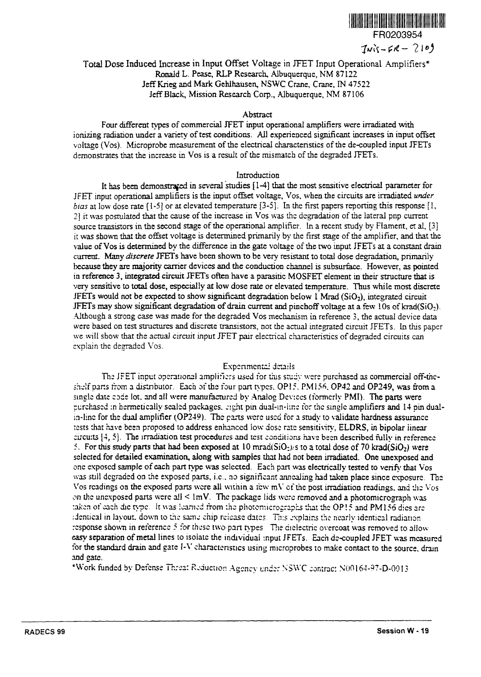

# $Twist-R - 210$ ge in JFET Input Operational Amplifiers\* Ronald L. Pease, RLP Research, Albuquerque, NM 87122 Jeff Krieg and Mark Gehlhausen, NSWC Crane, Crane, N 47522 Jeff Black, Mission Research Corp., Albuquerque, NM 87106

#### Abstract

Four different tvpes of commercial JFET input operational amplifiers were irradiated with ionizing radiation under a variety of test conditions. All experienced significant increases in input offset voltage (Vos). Microprobe measurement of the electrical characteristics of the de-coupled input JFETs demonstrates that the increase in Vos is a result of the mismatch of the degraded JFETs.

### Introduction

It has been demonstrated in several studies  $[1-4]$  that the most sensitive electrical parameter for JFET input operational amplifiers is the input offset voltage, Vos, when the circuits are irradiated under *bias* at low dose rate  $(1-5)$  or at elevated temperature  $[3-5]$ . In the first papers reporting this response  $[1, 1]$ 21 it was postulated that the cause of the increase in Vos was the degradation of the lateral pnp current source transistors in the second stage of the operational amplifier. In a recent study by Flament, et al, [3] it was shown that the offset voltage is determined primarily by the first stage of the amplifier, and that the value of Vos is determined by the difference in the gate voltage of the two input JFETs at a constant drain current. Many *discrete* JFETs have been shown to be very resistant to total dose degradation, primarily because they are majority carrier devices and the conduction channel is subsurface. However, as pointed in reference 3, integrated circuit JFETs often have a parasitic MOSFET element in their structure that is very sensitive to total dose, especially at low dose rate or elevated temperature. Thus while most discrete  $JFETs$  would not be expected to show significant degradation below I Mrad ( $SiO<sub>2</sub>$ ), integrated circuit JFETs may show significant degradation of drain current and pinchoff voltage at a few 10s of krad( $SiO<sub>2</sub>$ ). Although a strong case was made for the degraded Vos mechanism in reference 3, the actual device data were based on test structures and discrete transistors, not the actual integrated circuit JFETs. In this paper we will show that the actual circuit input JFET pair electrical characteristics of degraded circuits can explain the degraded Vos.

## Experimental details

The JFET input operational amplifiers used for this study were purchased as commercial off-thcshelf parts from a distributor. Each of the four part types, OP15, PM156, OP42 and OP249, was from a single date code lot. and all were manufactured by Analog Devices (formerly PMI). The parts were purchased in hermetically sealed packages. Fight pin dual-in-line for the single amplifiers and 14 pin dual-<br>in-line for the dual amplifier (OP249). The parts were used for a study to validate hardness assurance tests that have been proposed to address enhanced low dose rate sensitivity, ELDRS, in bipolar itnear circuits  $[4, 5]$ . The irradiation test procedures and test conditions have been described fully in reference 5. For this study parts that had been exposed at 10 mrad( $SiO<sub>2</sub>$ ). S to a total dose of 70 krad( $SiO<sub>2</sub>$ ) were selected for detailed examination, along with samples that had not been irradiated. One unexposed and one exposed sample of each part type was selected. Each part was electrically tested to verify that Vos was still degraded on the exposed parts, i.e., no significant annealing had taken place since exposure. The Vos readings on the exposed parts were all within a few  $mV$  of the post irradiation readings, and the Vos on the unexposed parts were all  $\leq$  lmV. The package lids were removed and a photomicrograph was taken of each die type. It was learned from the photomicrographs that the OP! 5 and PMI 56 dies are (dentical in layout, down to the same chip release dates. This explains the nearly identical radiation response shown in reference 5 for these two part types. The diclectric overcoat was removed to allow easy separation of metal lines to isolate the individual input JFETs. Each de-coupled JFET was measured for the standard drain and gate I-V characteristics using microprobes to make contact to the source, drain and ate.

\*Work funded by Defense Threat Reduction Agency under NSWC contract N00164-97-D-0013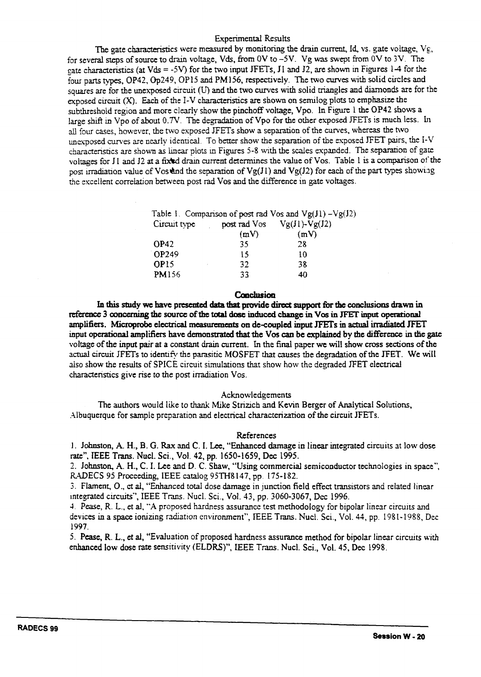### Experimental Results

The gate characteristics were measured by monitoring the drain current, Id, vs. gate voltage,  $V\epsilon$ , for several steps of source to drain voltage, Vds, from 0V to  $-5V$ . Vg was swept from 0V to 3V. The cate characteristics (at Vds = -5V) for the two input JFETs, J1 and J2, are shown in Figures 1-4 for the four parts types, OP42, Op249, OP15 and PM156, respectively. The two curves with solid circles and squares are for the unexposed circuit (U) and the two curves with solid triangles and diamonds are for the exposed circuit  $(X)$ . Each of the I-V characteristics are shown on semilog plots to emphasize the subthreshold region and more clearly show the pinchoff voltage, Vpo. In Figure 1 the OP42 shows a large shift in Vpo of about 0.7V. The degradation of Vpo for the other exposed JFETs is much less. In all four cases, however, the two exposed JFETs show a separation of the curves, whereas the two unexposed curves are nearly identical. To better show the separation of the exposed JFET pairs, the I-V charactenstics are shown as linear plots in Figures 5-8 with the scales expanded. The separation of gate voltages for J1 and J2 at a fixed drain current determines the value of Vos. Table 1 is a comparison of the post irradiation value of Vos and the separation of  $Vg(J1)$  and  $Vg(J2)$  for each of the part types showing the excellent correlation between post rad Vos and the difference in gate voltages.

|                  |      | Table 1. Comparison of post rad Vos and $Vg(Jl) - Vg(J2)$ |
|------------------|------|-----------------------------------------------------------|
| Circuit type     |      | post rad $Vos$ $Vg(Jl)$ - $Vg(J2)$                        |
|                  | (mV) | (mV)                                                      |
| OP42             | 35   | 28                                                        |
| OP249            | 15   | 10                                                        |
| OP <sub>15</sub> | 32   | 38                                                        |
| <b>PM156</b>     | 33   | 40                                                        |

#### **Conclusion**

In this study we have presented data that provide direct support for the conclusions drawn in reference 3 concerning the source of the total dose induced change in Vos in JFET input operational amplifiers. Microprobe electrical measurements on de-coupled input JFETs in actual irradiated JFET input **operational** amplifiers **have demonstrated that the Vos can be explained** by **the difference in** the **gate** voltage of the input pair at a constant drain current. In the final paper **we** will show cross sections of the actual circuit JFETs to identify the parasitic MOSFET that causes the degradation of the JFET. We will also show the results of SPICE circuit smulations that show how the degraded JFET electrical characteristics give rise to the post irradiation Vos.

#### Acknowledgements

The authors would like to thank Mike Strizich and Kevin Berger of Analytical Solutions, Albuquerque for sample preparation and electrical characterization of the circuit JFETs.

#### References

1. Johnston, A. H., B. G. Rax and C. 1. Lee, "Enhanced damage in linear integrated circuits at low dose rate", IEEE Trans. Nucl. Scl., Vol. 42, pp. 1650-1659, Dec 1995.

2. Johnston, A. H., C. I. Lee and D. C. Shaw, "Using commercial semiconductor technologies in space", RADECS 95 Proceeding, IEEE catalog 95TH8147, pp. 175-182.

3. Flament, O., et al, "Enhanced total dose damage in junction field effect transistors and related linear integrated circuits", IEEE Trans. Nucl. Sci., Vol. 43, pp. 3060-3067, Dec 1996.

4. Pease, R. L., et al, "A proposed hardness assurance test methodology for bipolar linear circuits and devices in a space ionizing radiation environment", IEEE Trans. Nucl. Sci., Vol. 44, pp. 1981-1988, Dec. 1997.

5. Pease, R. L., et al, "Evaluation of proposed hardness assurance method for bipolar linear circuits with enhanced low dose rate sensitivity (ELDRS)", IEEE Trans. Nucl. Sci., Vol. 45, Dec 1998.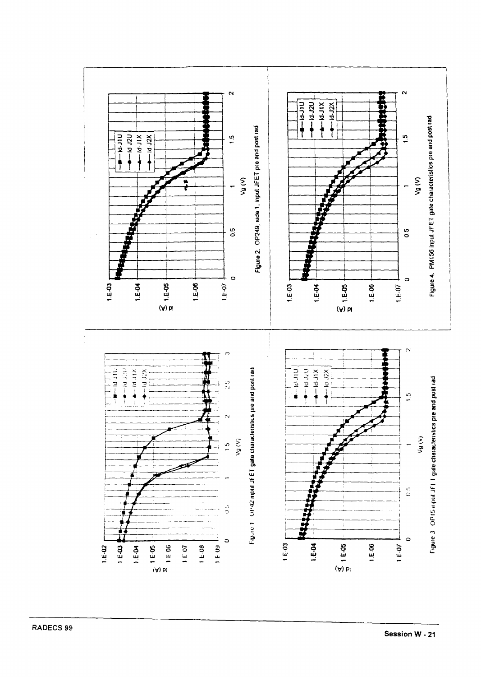